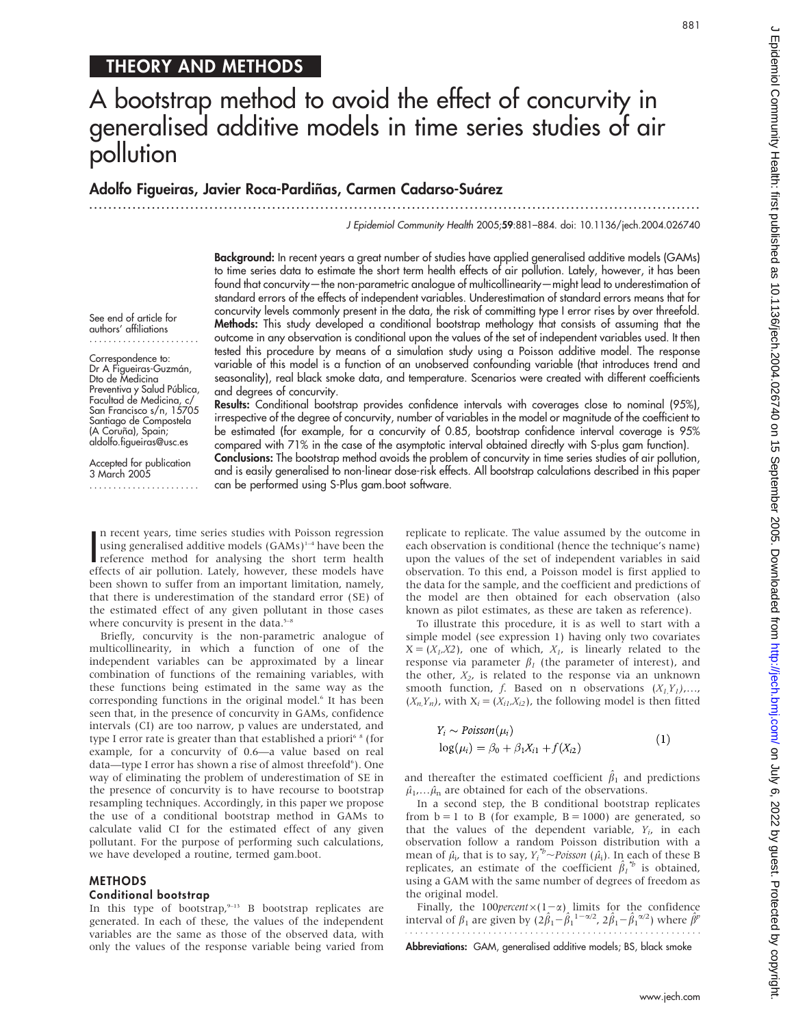See end of article for authors' affiliations ....................... Correspondence to: Dr A Figueiras-Guzmán, Dto de Medicina Preventiva y Salud Pública, Facultad de Medicina, c/ San Francisco s/n, 15705 Santiago de Compostela (A Coruña), Spain; aldolfo.figueiras@usc.es Accepted for publication 3 March 2005 .......................

# A bootstrap method to avoid the effect of concurvity in generalised additive models in time series studies of air pollution

## Adolfo Figueiras, Javier Roca-Pardiñas, Carmen Cadarso-Suárez

...............................................................................................................................

J Epidemiol Community Health 2005;59:881–884. doi: 10.1136/jech.2004.026740

Background: In recent years a great number of studies have applied generalised additive models (GAMs) to time series data to estimate the short term health effects of air pollution. Lately, however, it has been found that concurvity—the non-parametric analogue of multicollinearity—might lead to underestimation of standard errors of the effects of independent variables. Underestimation of standard errors means that for concurvity levels commonly present in the data, the risk of committing type I error rises by over threefold. Methods: This study developed a conditional bootstrap methology that consists of assuming that the outcome in any observation is conditional upon the values of the set of independent variables used. It then tested this procedure by means of a simulation study using a Poisson additive model. The response variable of this model is a function of an unobserved confounding variable (that introduces trend and seasonality), real black smoke data, and temperature. Scenarios were created with different coefficients and degrees of concurvity.

Results: Conditional bootstrap provides confidence intervals with coverages close to nominal (95%), irrespective of the degree of concurvity, number of variables in the model or magnitude of the coefficient to be estimated (for example, for a concurvity of 0.85, bootstrap confidence interval coverage is 95% compared with 71% in the case of the asymptotic interval obtained directly with S-plus gam function).

Conclusions: The bootstrap method avoids the problem of concurvity in time series studies of air pollution, and is easily generalised to non-linear dose-risk effects. All bootstrap calculations described in this paper can be performed using S-Plus gam.boot software.

In recent years, time series studies with Poisson regression<br>using generalised additive models (GAMs)<sup>1-4</sup> have been the<br>reference method for analysing the short term health<br>offects of air pollution Litely, however, these n recent years, time series studies with Poisson regression using generalised additive models  $(GAMs)^{1-4}$  have been the effects of air pollution. Lately, however, these models have been shown to suffer from an important limitation, namely, that there is underestimation of the standard error (SE) of the estimated effect of any given pollutant in those cases where concurvity is present in the data. $5-8$ 

Briefly, concurvity is the non-parametric analogue of multicollinearity, in which a function of one of the independent variables can be approximated by a linear combination of functions of the remaining variables, with these functions being estimated in the same way as the corresponding functions in the original model.<sup>6</sup> It has been seen that, in the presence of concurvity in GAMs, confidence intervals (CI) are too narrow, p values are understated, and type I error rate is greater than that established a priori<sup>6</sup> <sup>8</sup> (for example, for a concurvity of 0.6—a value based on real data-type I error has shown a rise of almost threefold<sup>6</sup>). One way of eliminating the problem of underestimation of SE in the presence of concurvity is to have recourse to bootstrap resampling techniques. Accordingly, in this paper we propose the use of a conditional bootstrap method in GAMs to calculate valid CI for the estimated effect of any given pollutant. For the purpose of performing such calculations, we have developed a routine, termed gam.boot.

#### METHODS

#### Conditional bootstrap

In this type of bootstrap, $9-13$  B bootstrap replicates are generated. In each of these, the values of the independent variables are the same as those of the observed data, with only the values of the response variable being varied from

replicate to replicate. The value assumed by the outcome in each observation is conditional (hence the technique's name) upon the values of the set of independent variables in said observation. To this end, a Poisson model is first applied to the data for the sample, and the coefficient and predictions of the model are then obtained for each observation (also known as pilot estimates, as these are taken as reference).

To illustrate this procedure, it is as well to start with a simple model (see expression 1) having only two covariates  $X=(X_1,X_2)$ , one of which,  $X_1$ , is linearly related to the response via parameter  $\beta_1$  (the parameter of interest), and the other,  $X_2$ , is related to the response via an unknown smooth function, f. Based on n observations  $(X_1, Y_1), \ldots$ ,  $(X_n, Y_n)$ , with  $X_i = (X_{i1}, X_{i2})$ , the following model is then fitted

$$
Y_i \sim Poisson(\mu_i)
$$
  

$$
log(\mu_i) = \beta_0 + \beta_1 X_{i1} + f(X_{i2})
$$
 (1)

and thereafter the estimated coefficient  $\hat{\beta}_1$  and predictions  $\hat{\mu}_1$ ,… $\hat{\mu}_n$  are obtained for each of the observations.

In a second step, the B conditional bootstrap replicates from  $b = 1$  to B (for example,  $B = 1000$ ) are generated, so that the values of the dependent variable,  $Y_i$ , in each observation follow a random Poisson distribution with a mean of  $\hat{\mu}_i$ , that is to say,  $Y_i^* \sim Poisson(\hat{\mu}_i)$ . In each of these B replicates, an estimate of the coefficient  $\hat{\beta}_1^{\ \prime\prime}$  is obtained, using a GAM with the same number of degrees of freedom as the original model.

Finally, the 100 percent  $\times(1-\alpha)$  limits for the confidence interval of  $\beta_1$  are given by  $(2\hat{\beta}_1 - \hat{\beta}_1^{-1-\alpha/2}, 2\hat{\beta}_1 - \hat{\beta}_1^{-\alpha/2})$  where  $\hat{\beta}^p$ 

Abbreviations: GAM, generalised additive models; BS, black smoke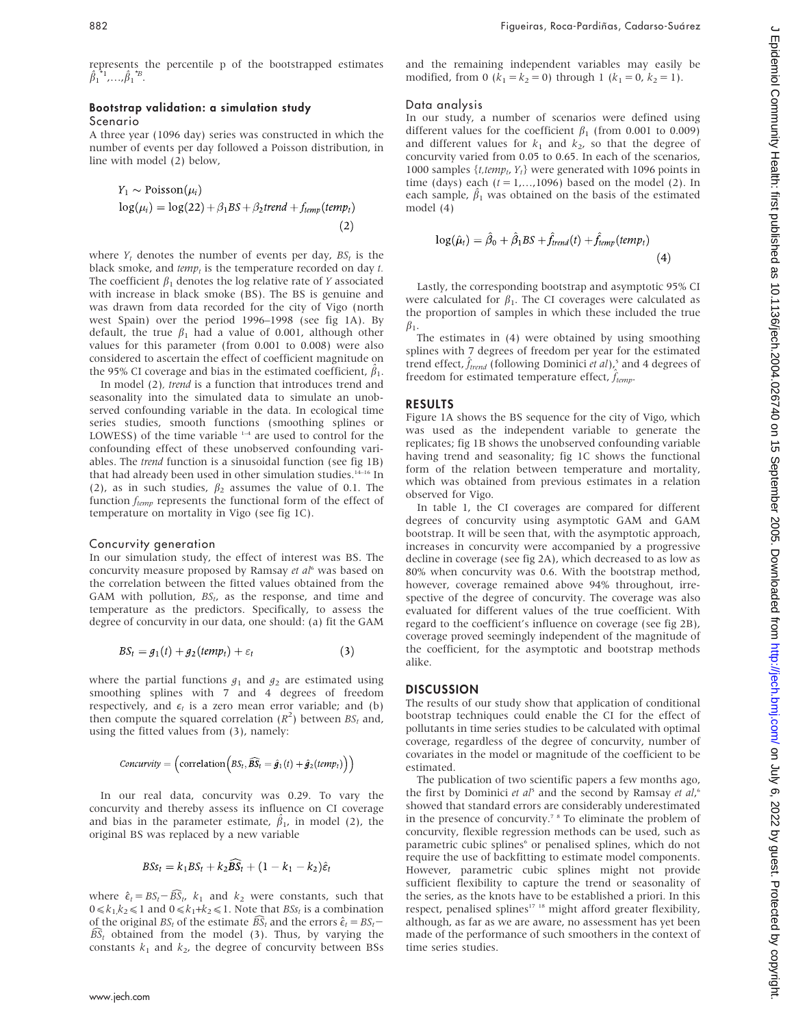represents the percentile p of the bootstrapped estimates  $\hat{\beta}_1^{\ast_1}$ ,..., $\hat{\beta}_1^{\ast_2}$ .

#### Bootstrap validation: a simulation study Scenario

A three year (1096 day) series was constructed in which the number of events per day followed a Poisson distribution, in line with model (2) below,

$$
Y_1 \sim \text{Poisson}(\mu_i)
$$
  

$$
\log(\mu_i) = \log(22) + \beta_1 BS + \beta_2 trend + f_{temp}(temp_i)
$$
 (2)

where  $Y_t$  denotes the number of events per day,  $BS_t$  is the black smoke, and  $temp_t$  is the temperature recorded on day  $t$ . The coefficient  $\beta_1$  denotes the log relative rate of Y associated with increase in black smoke (BS). The BS is genuine and was drawn from data recorded for the city of Vigo (north west Spain) over the period 1996–1998 (see fig 1A). By default, the true  $\beta_1$  had a value of 0.001, although other values for this parameter (from 0.001 to 0.008) were also considered to ascertain the effect of coefficient magnitude on the 95% CI coverage and bias in the estimated coefficient,  $\hat{\beta}_1$ .

In model (2), trend is a function that introduces trend and seasonality into the simulated data to simulate an unobserved confounding variable in the data. In ecological time series studies, smooth functions (smoothing splines or LOWESS) of the time variable  $1-4$  are used to control for the confounding effect of these unobserved confounding variables. The trend function is a sinusoidal function (see fig 1B) that had already been used in other simulation studies.<sup>14-16</sup> In (2), as in such studies,  $\beta_2$  assumes the value of 0.1. The function  $f_{temp}$  represents the functional form of the effect of temperature on mortality in Vigo (see fig 1C).

#### Concurvity generation

In our simulation study, the effect of interest was BS. The concurvity measure proposed by Ramsay et al<sup>6</sup> was based on the correlation between the fitted values obtained from the GAM with pollution,  $BS_t$ , as the response, and time and temperature as the predictors. Specifically, to assess the degree of concurvity in our data, one should: (a) fit the GAM

$$
BS_t = g_1(t) + g_2(\text{temp}_t) + \varepsilon_t \tag{3}
$$

where the partial functions  $g_1$  and  $g_2$  are estimated using smoothing splines with 7 and 4 degrees of freedom respectively, and  $\epsilon_t$  is a zero mean error variable; and (b) then compute the squared correlation  $(R^2)$  between  $BS_t$  and, using the fitted values from (3), namely:

$$
Convivity = (\text{correlation}\Big(BS_t, \widehat{\mathcal{BS}}_t = \hat{\boldsymbol{g}}_1(t) + \hat{\boldsymbol{g}}_2(temp_t)\Big)\Big)
$$

In our real data, concurvity was 0.29. To vary the concurvity and thereby assess its influence on CI coverage and bias in the parameter estimate,  $\hat{\beta}_1$ , in model (2), the original BS was replaced by a new variable

$$
BSS_t = k_1BS_t + k_2\widehat{BS}_t + (1 - k_1 - k_2)\hat{\varepsilon}_t
$$

where  $\hat{\epsilon}_t = BS_t - \widehat{BS}_t$ ,  $k_1$  and  $k_2$  were constants, such that  $0 \le k_1, k_2 \le 1$  and  $0 \le k_1+k_2 \le 1$ . Note that  $BSs_t$  is a combination of the original  $BS_t$  of the estimate  $BS_t$  and the errors  $\hat{\epsilon}_t = BS_t$  $\widehat{BS}_t$  obtained from the model (3). Thus, by varying the constants  $k_1$  and  $k_2$ , the degree of concurvity between BSs and the remaining independent variables may easily be modified, from 0  $(k_1 = k_2 = 0)$  through 1  $(k_1 = 0, k_2 = 1)$ .

### Data analysis

In our study, a number of scenarios were defined using different values for the coefficient  $\beta_1$  (from 0.001 to 0.009) and different values for  $k_1$  and  $k_2$ , so that the degree of concurvity varied from 0.05 to 0.65. In each of the scenarios, 1000 samples  $\{t, temp_t, Y_t\}$  were generated with 1096 points in time (days) each  $(t = 1,...,1096)$  based on the model (2). In each sample,  $\hat{\beta}_1$  was obtained on the basis of the estimated model (4)

$$
\log(\hat{\mu}_t) = \hat{\beta}_0 + \hat{\beta}_1 BS + \hat{f}_{trend}(t) + \hat{f}_{temp}(temp_t)
$$
\n(4)

Lastly, the corresponding bootstrap and asymptotic 95% CI were calculated for  $\beta_1$ . The CI coverages were calculated as the proportion of samples in which these included the true  $\beta_1$ .

The estimates in (4) were obtained by using smoothing splines with 7 degrees of freedom per year for the estimated trend effect,  $\hat{f}_{trend}$  (following Dominici et al),<sup>5</sup> and 4 degrees of freedom for estimated temperature effect,  $\hat{f}_{temp}$ .

### RESULTS

Figure 1A shows the BS sequence for the city of Vigo, which was used as the independent variable to generate the replicates; fig 1B shows the unobserved confounding variable having trend and seasonality; fig 1C shows the functional form of the relation between temperature and mortality, which was obtained from previous estimates in a relation observed for Vigo.

In table 1, the CI coverages are compared for different degrees of concurvity using asymptotic GAM and GAM bootstrap. It will be seen that, with the asymptotic approach, increases in concurvity were accompanied by a progressive decline in coverage (see fig 2A), which decreased to as low as 80% when concurvity was 0.6. With the bootstrap method, however, coverage remained above 94% throughout, irrespective of the degree of concurvity. The coverage was also evaluated for different values of the true coefficient. With regard to the coefficient's influence on coverage (see fig 2B), coverage proved seemingly independent of the magnitude of the coefficient, for the asymptotic and bootstrap methods alike.

#### **DISCUSSION**

The results of our study show that application of conditional bootstrap techniques could enable the CI for the effect of pollutants in time series studies to be calculated with optimal coverage, regardless of the degree of concurvity, number of covariates in the model or magnitude of the coefficient to be estimated.

The publication of two scientific papers a few months ago, the first by Dominici et  $aI^5$  and the second by Ramsay et  $aI^6$ , showed that standard errors are considerably underestimated in the presence of concurvity.7 8 To eliminate the problem of concurvity, flexible regression methods can be used, such as parametric cubic splines<sup>6</sup> or penalised splines, which do not require the use of backfitting to estimate model components. However, parametric cubic splines might not provide sufficient flexibility to capture the trend or seasonality of the series, as the knots have to be established a priori. In this respect, penalised splines<sup>17</sup><sup>18</sup> might afford greater flexibility, although, as far as we are aware, no assessment has yet been made of the performance of such smoothers in the context of time series studies.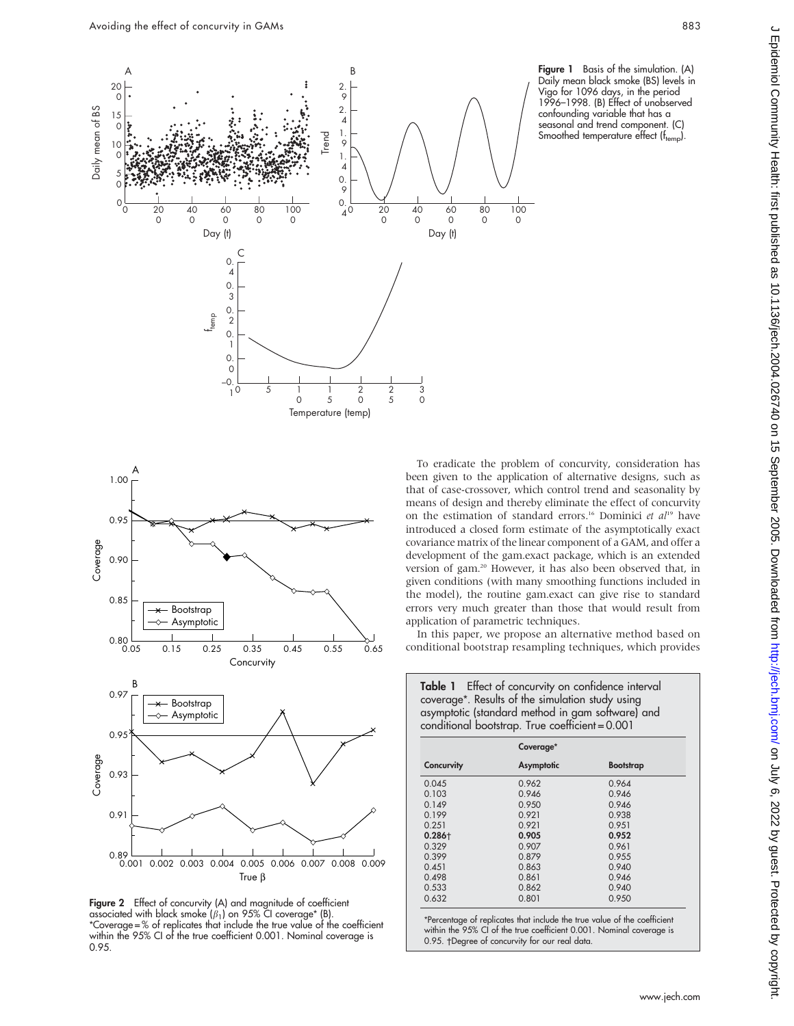

Figure 1 Basis of the simulation. (A) Daily mean black smoke (BS) levels in Vigo for 1096 days, in the period 1996–1998. (B) Effect of unobserved confounding variable that has a seasonal and trend component. (C) Smoothed temperature effect (ftemp).



Figure 2 Effect of concurvity (A) and magnitude of coefficient associated with black smoke  $(\beta_1)$  on 95% CI coverage\* (B). \*Coverage = % of replicates that include the true value of the coefficient within the 95% CI of the true coefficient 0.001. Nominal coverage is 0.95.

To eradicate the problem of concurvity, consideration has been given to the application of alternative designs, such as that of case-crossover, which control trend and seasonality by means of design and thereby eliminate the effect of concurvity on the estimation of standard errors.<sup>16</sup> Dominici et  $al^{19}$  have introduced a closed form estimate of the asymptotically exact covariance matrix of the linear component of a GAM, and offer a development of the gam.exact package, which is an extended version of gam.<sup>20</sup> However, it has also been observed that, in given conditions (with many smoothing functions included in the model), the routine gam.exact can give rise to standard errors very much greater than those that would result from application of parametric techniques.

In this paper, we propose an alternative method based on conditional bootstrap resampling techniques, which provides

Table 1 Effect of concurvity on confidence interval coverage\*. Results of the simulation study using asymptotic (standard method in gam software) and conditional bootstrap. True coefficient = 0.001

|            | Coverage*  |                  |  |
|------------|------------|------------------|--|
| Concurvity | Asymptotic | <b>Bootstrap</b> |  |
| 0.045      | 0.962      | 0.964            |  |
| 0.103      | 0.946      | 0.946            |  |
| 0.149      | 0.950      | 0.946            |  |
| 0.199      | 0.921      | 0.938            |  |
| 0.251      | 0.921      | 0.951            |  |
| $0.286 +$  | 0.905      | 0.952            |  |
| 0.329      | 0.907      | 0.961            |  |
| 0.399      | 0.879      | 0.955            |  |
| 0.451      | 0.863      | 0.940            |  |
| 0.498      | 0.861      | 0.946            |  |
| 0.533      | 0.862      | 0.940            |  |
| 0.632      | 0.801      | 0.950            |  |

\*Percentage of replicates that include the true value of the coefficient within the 95% CI of the true coefficient 0.001. Nominal coverage is 0.95. †Degree of concurvity for our real data.